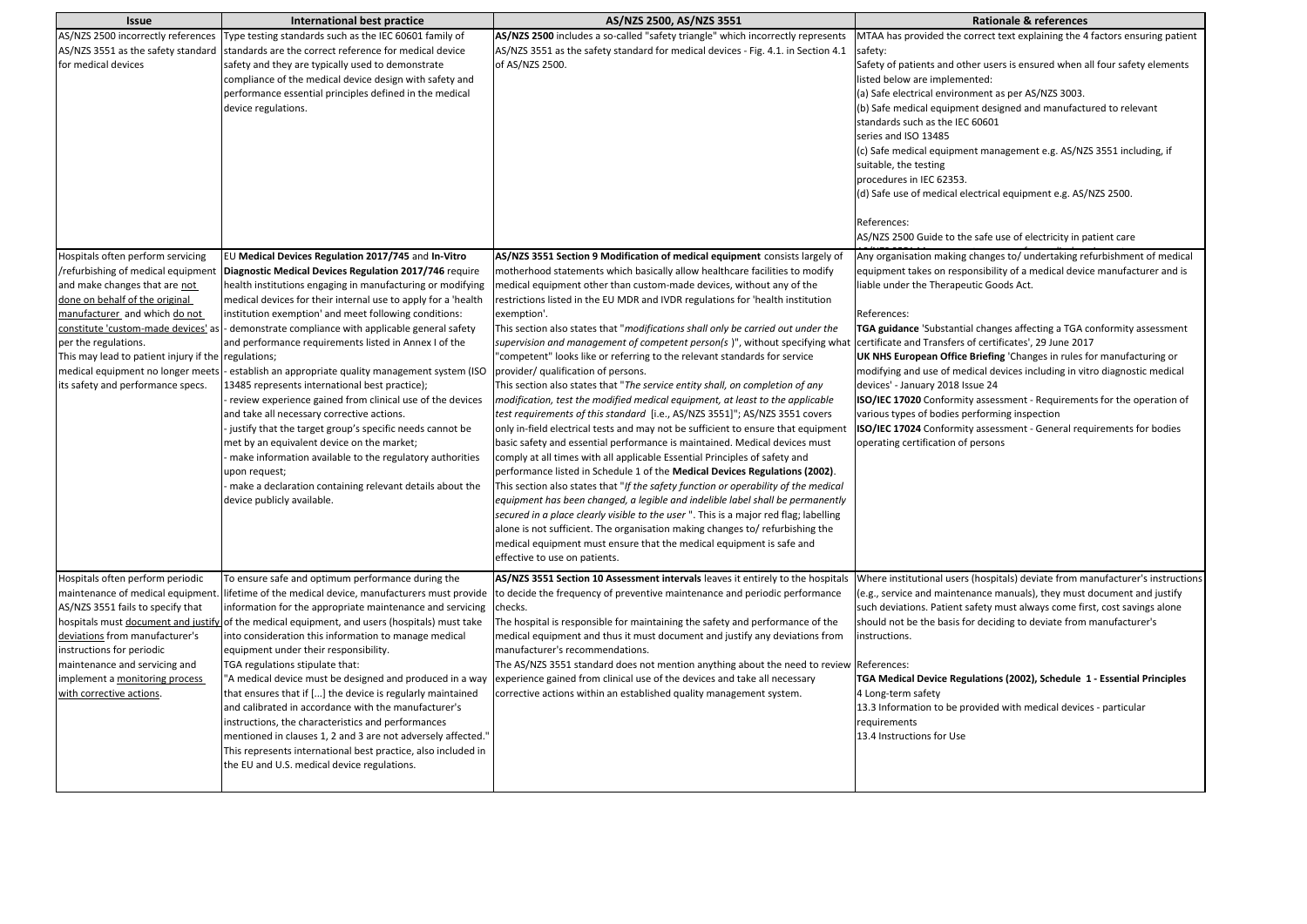| <b>Issue</b>                                                                                                                                                                                                                                                                                    | International best practice                                                                                                                                                                                                                                                                                                                                                                                                                                                                                                                                                                                                                                                                                                                                                                                                                                                                                                                                                                                       | AS/NZS 2500, AS/NZS 3551                                                                                                                                                                                                                                                                                                                                                                                                                                                                                                                                                                                                                                                                                                                                                                                                                                                                                                                                                                                                                                                                                                                                                                                                                                                                                                                                                                                                                                                                                                                                                                                                                                                | <b>Rationale &amp; references</b>                                                                                                                                                                                                                                                                                                                                                                                                                                                                                                                                                                                                                                                                                                                                                                                                                                               |
|-------------------------------------------------------------------------------------------------------------------------------------------------------------------------------------------------------------------------------------------------------------------------------------------------|-------------------------------------------------------------------------------------------------------------------------------------------------------------------------------------------------------------------------------------------------------------------------------------------------------------------------------------------------------------------------------------------------------------------------------------------------------------------------------------------------------------------------------------------------------------------------------------------------------------------------------------------------------------------------------------------------------------------------------------------------------------------------------------------------------------------------------------------------------------------------------------------------------------------------------------------------------------------------------------------------------------------|-------------------------------------------------------------------------------------------------------------------------------------------------------------------------------------------------------------------------------------------------------------------------------------------------------------------------------------------------------------------------------------------------------------------------------------------------------------------------------------------------------------------------------------------------------------------------------------------------------------------------------------------------------------------------------------------------------------------------------------------------------------------------------------------------------------------------------------------------------------------------------------------------------------------------------------------------------------------------------------------------------------------------------------------------------------------------------------------------------------------------------------------------------------------------------------------------------------------------------------------------------------------------------------------------------------------------------------------------------------------------------------------------------------------------------------------------------------------------------------------------------------------------------------------------------------------------------------------------------------------------------------------------------------------------|---------------------------------------------------------------------------------------------------------------------------------------------------------------------------------------------------------------------------------------------------------------------------------------------------------------------------------------------------------------------------------------------------------------------------------------------------------------------------------------------------------------------------------------------------------------------------------------------------------------------------------------------------------------------------------------------------------------------------------------------------------------------------------------------------------------------------------------------------------------------------------|
| for medical devices                                                                                                                                                                                                                                                                             | AS/NZS 2500 incorrectly references Type testing standards such as the IEC 60601 family of<br>AS/NZS 3551 as the safety standard standards are the correct reference for medical device<br>safety and they are typically used to demonstrate<br>compliance of the medical device design with safety and<br>performance essential principles defined in the medical<br>device regulations.                                                                                                                                                                                                                                                                                                                                                                                                                                                                                                                                                                                                                          | AS/NZS 2500 includes a so-called "safety triangle" which incorrectly represents<br>AS/NZS 3551 as the safety standard for medical devices - Fig. 4.1. in Section 4.1<br>of AS/NZS 2500.                                                                                                                                                                                                                                                                                                                                                                                                                                                                                                                                                                                                                                                                                                                                                                                                                                                                                                                                                                                                                                                                                                                                                                                                                                                                                                                                                                                                                                                                                 | MTAA has provided the correct text explaining the 4 factors ensuring patient<br>safety:<br>Safety of patients and other users is ensured when all four safety elements<br>listed below are implemented:<br>(a) Safe electrical environment as per AS/NZS 3003.<br>(b) Safe medical equipment designed and manufactured to relevant<br>standards such as the IEC 60601<br>series and ISO 13485<br>(c) Safe medical equipment management e.g. AS/NZS 3551 including, if<br>suitable, the testing<br>procedures in IEC 62353.<br>(d) Safe use of medical electrical equipment e.g. AS/NZS 2500.<br>References:                                                                                                                                                                                                                                                                     |
| Hospitals often perform servicing<br>/refurbishing of medical equipment<br>and make changes that are not<br>done on behalf of the original<br>manufacturer and which do not<br>per the regulations.<br>This may lead to patient injury if the regulations;<br>its safety and performance specs. | EU Medical Devices Regulation 2017/745 and In-Vitro<br>Diagnostic Medical Devices Regulation 2017/746 require<br>health institutions engaging in manufacturing or modifying<br>medical devices for their internal use to apply for a 'health<br>institution exemption' and meet following conditions:<br>constitute 'custom-made devices' as  - demonstrate compliance with applicable general safety<br>and performance requirements listed in Annex I of the<br>medical equipment no longer meets - establish an appropriate quality management system (ISO<br>13485 represents international best practice);<br>- review experience gained from clinical use of the devices<br>and take all necessary corrective actions.<br>justify that the target group's specific needs cannot be<br>met by an equivalent device on the market;<br>- make information available to the regulatory authorities<br>upon request;<br>- make a declaration containing relevant details about the<br>device publicly available. | AS/NZS 3551 Section 9 Modification of medical equipment consists largely of<br>motherhood statements which basically allow healthcare facilities to modify<br>medical equipment other than custom-made devices, without any of the<br>restrictions listed in the EU MDR and IVDR regulations for 'health institution<br>exemption'.<br>This section also states that "modifications shall only be carried out under the<br>supervision and management of competent person(s)", without specifying what<br>"competent" looks like or referring to the relevant standards for service<br>provider/ qualification of persons.<br>This section also states that "The service entity shall, on completion of any<br>modification, test the modified medical equipment, at least to the applicable<br>test requirements of this standard [i.e., AS/NZS 3551]"; AS/NZS 3551 covers<br>only in-field electrical tests and may not be sufficient to ensure that equipment<br>basic safety and essential performance is maintained. Medical devices must<br>comply at all times with all applicable Essential Principles of safety and<br>performance listed in Schedule 1 of the Medical Devices Regulations (2002).<br>This section also states that "If the safety function or operability of the medical<br>equipment has been changed, a legible and indelible label shall be permanently<br>secured in a place clearly visible to the user ". This is a major red flag; labelling<br>alone is not sufficient. The organisation making changes to/ refurbishing the<br>medical equipment must ensure that the medical equipment is safe and<br>effective to use on patients. | AS/NZS 2500 Guide to the safe use of electricity in patient care<br>Any organisation making changes to/ undertaking refurbishment of medical<br>equipment takes on responsibility of a medical device manufacturer and is<br>liable under the Therapeutic Goods Act.<br>References:<br>TGA guidance 'Substantial changes affecting a TGA conformity assessment<br>certificate and Transfers of certificates', 29 June 2017<br>UK NHS European Office Briefing 'Changes in rules for manufacturing or<br>modifying and use of medical devices including in vitro diagnostic medical<br>devices' - January 2018 Issue 24<br><b>ISO/IEC 17020</b> Conformity assessment - Requirements for the operation of<br>various types of bodies performing inspection<br><b>ISO/IEC 17024</b> Conformity assessment - General requirements for bodies<br>operating certification of persons |
| Hospitals often perform periodic<br>maintenance of medical equipment.<br>AS/NZS 3551 fails to specify that<br>deviations from manufacturer's<br>instructions for periodic<br>maintenance and servicing and<br>implement a monitoring process<br>with corrective actions.                        | To ensure safe and optimum performance during the<br>information for the appropriate maintenance and servicing<br>hospitals must document and justify of the medical equipment, and users (hospitals) must take<br>into consideration this information to manage medical<br>equipment under their responsibility.<br>TGA regulations stipulate that:<br>"A medical device must be designed and produced in a way<br>that ensures that if [] the device is regularly maintained<br>and calibrated in accordance with the manufacturer's<br>instructions, the characteristics and performances<br>mentioned in clauses 1, 2 and 3 are not adversely affected."<br>This represents international best practice, also included in<br>the EU and U.S. medical device regulations.                                                                                                                                                                                                                                      | AS/NZS 3551 Section 10 Assessment intervals leaves it entirely to the hospitals Where institutional users (hospitals) deviate from manufacturer's instructions<br>lifetime of the medical device, manufacturers must provide to decide the frequency of preventive maintenance and periodic performance<br>checks.<br>The hospital is responsible for maintaining the safety and performance of the<br>medical equipment and thus it must document and justify any deviations from<br>Imanufacturer's recommendations.<br>The AS/NZS 3551 standard does not mention anything about the need to review References:<br>experience gained from clinical use of the devices and take all necessary<br>corrective actions within an established quality management system.                                                                                                                                                                                                                                                                                                                                                                                                                                                                                                                                                                                                                                                                                                                                                                                                                                                                                                   | (e.g., service and maintenance manuals), they must document and justify<br>such deviations. Patient safety must always come first, cost savings alone<br>should not be the basis for deciding to deviate from manufacturer's<br>instructions.<br>TGA Medical Device Regulations (2002), Schedule 1 - Essential Principles<br>4 Long-term safety<br>13.3 Information to be provided with medical devices - particular<br>requirements<br>13.4 Instructions for Use                                                                                                                                                                                                                                                                                                                                                                                                               |